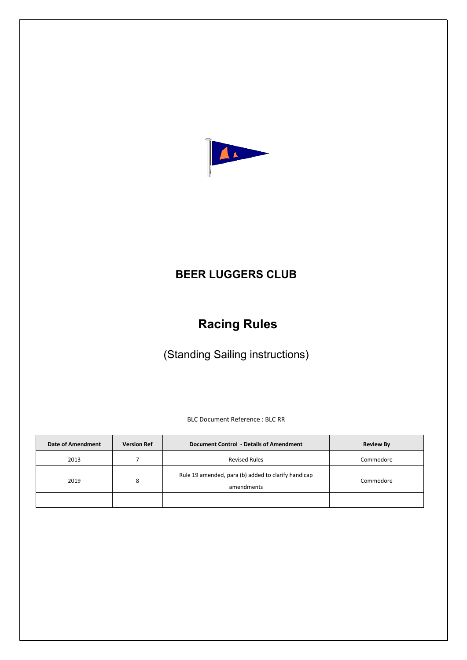

## **BEER LUGGERS CLUB**

## **Racing Rules**

(Standing Sailing instructions)

BLC Document Reference : BLC RR

| <b>Date of Amendment</b> | <b>Version Ref</b> | <b>Document Control - Details of Amendment</b>                    | <b>Review By</b> |
|--------------------------|--------------------|-------------------------------------------------------------------|------------------|
| 2013                     |                    | <b>Revised Rules</b>                                              | Commodore        |
| 2019                     | 8                  | Rule 19 amended, para (b) added to clarify handicap<br>amendments | Commodore        |
|                          |                    |                                                                   |                  |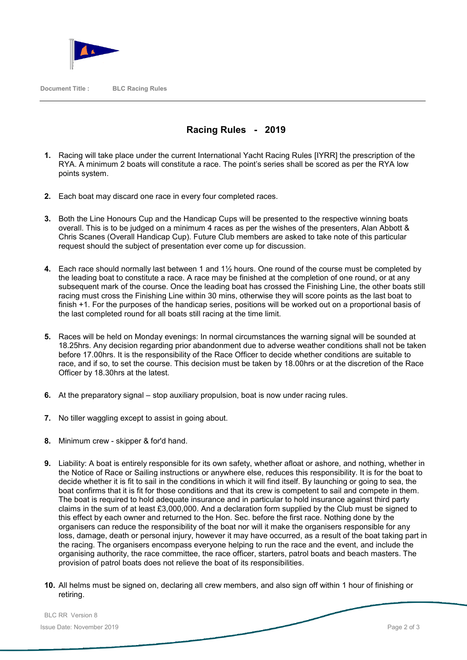

## **Racing Rules - 2019**

- **1.** Racing will take place under the current International Yacht Racing Rules [IYRR] the prescription of the RYA. A minimum 2 boats will constitute a race. The point's series shall be scored as per the RYA low points system.
- **2.** Each boat may discard one race in every four completed races.
- **3.** Both the Line Honours Cup and the Handicap Cups will be presented to the respective winning boats overall. This is to be judged on a minimum 4 races as per the wishes of the presenters, Alan Abbott & Chris Scanes (Overall Handicap Cup). Future Club members are asked to take note of this particular request should the subject of presentation ever come up for discussion.
- **4.** Each race should normally last between 1 and 1½ hours. One round of the course must be completed by the leading boat to constitute a race. A race may be finished at the completion of one round, or at any subsequent mark of the course. Once the leading boat has crossed the Finishing Line, the other boats still racing must cross the Finishing Line within 30 mins, otherwise they will score points as the last boat to finish +1. For the purposes of the handicap series, positions will be worked out on a proportional basis of the last completed round for all boats still racing at the time limit.
- **5.** Races will be held on Monday evenings: In normal circumstances the warning signal will be sounded at 18.25hrs. Any decision regarding prior abandonment due to adverse weather conditions shall not be taken before 17.00hrs. It is the responsibility of the Race Officer to decide whether conditions are suitable to race, and if so, to set the course. This decision must be taken by 18.00hrs or at the discretion of the Race Officer by 18.30hrs at the latest.
- **6.** At the preparatory signal stop auxiliary propulsion, boat is now under racing rules.
- **7.** No tiller waggling except to assist in going about.
- **8.** Minimum crew skipper & for'd hand.
- **9.** Liability: A boat is entirely responsible for its own safety, whether afloat or ashore, and nothing, whether in the Notice of Race or Sailing instructions or anywhere else, reduces this responsibility. It is for the boat to decide whether it is fit to sail in the conditions in which it will find itself. By launching or going to sea, the boat confirms that it is fit for those conditions and that its crew is competent to sail and compete in them. The boat is required to hold adequate insurance and in particular to hold insurance against third party claims in the sum of at least £3,000,000. And a declaration form supplied by the Club must be signed to this effect by each owner and returned to the Hon. Sec. before the first race. Nothing done by the organisers can reduce the responsibility of the boat nor will it make the organisers responsible for any loss, damage, death or personal injury, however it may have occurred, as a result of the boat taking part in the racing. The organisers encompass everyone helping to run the race and the event, and include the organising authority, the race committee, the race officer, starters, patrol boats and beach masters. The provision of patrol boats does not relieve the boat of its responsibilities.
- **10.** All helms must be signed on, declaring all crew members, and also sign off within 1 hour of finishing or retiring.